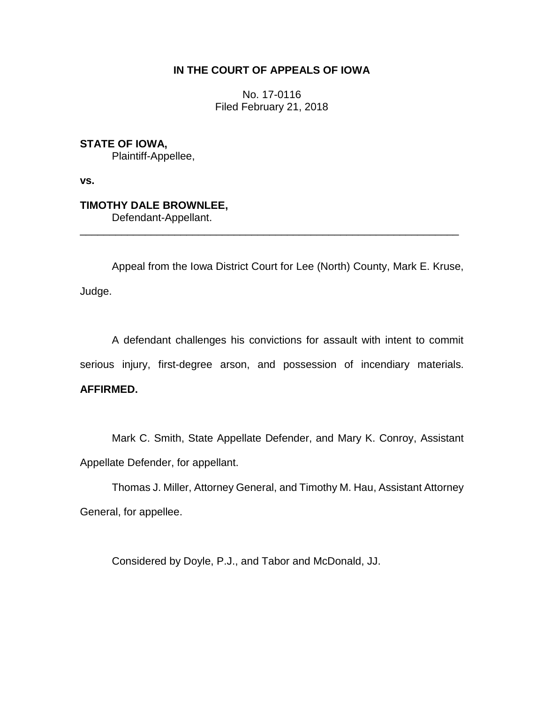# **IN THE COURT OF APPEALS OF IOWA**

No. 17-0116 Filed February 21, 2018

**STATE OF IOWA,** Plaintiff-Appellee,

**vs.**

# **TIMOTHY DALE BROWNLEE,**

Defendant-Appellant.

Appeal from the Iowa District Court for Lee (North) County, Mark E. Kruse, Judge.

\_\_\_\_\_\_\_\_\_\_\_\_\_\_\_\_\_\_\_\_\_\_\_\_\_\_\_\_\_\_\_\_\_\_\_\_\_\_\_\_\_\_\_\_\_\_\_\_\_\_\_\_\_\_\_\_\_\_\_\_\_\_\_\_

A defendant challenges his convictions for assault with intent to commit serious injury, first-degree arson, and possession of incendiary materials. **AFFIRMED.**

Mark C. Smith, State Appellate Defender, and Mary K. Conroy, Assistant Appellate Defender, for appellant.

Thomas J. Miller, Attorney General, and Timothy M. Hau, Assistant Attorney General, for appellee.

Considered by Doyle, P.J., and Tabor and McDonald, JJ.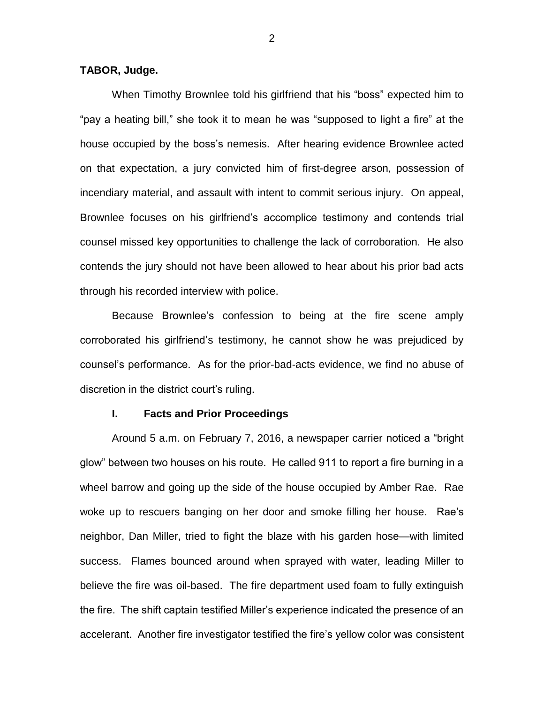## **TABOR, Judge.**

When Timothy Brownlee told his girlfriend that his "boss" expected him to "pay a heating bill," she took it to mean he was "supposed to light a fire" at the house occupied by the boss's nemesis. After hearing evidence Brownlee acted on that expectation, a jury convicted him of first-degree arson, possession of incendiary material, and assault with intent to commit serious injury. On appeal, Brownlee focuses on his girlfriend's accomplice testimony and contends trial counsel missed key opportunities to challenge the lack of corroboration. He also contends the jury should not have been allowed to hear about his prior bad acts through his recorded interview with police.

Because Brownlee's confession to being at the fire scene amply corroborated his girlfriend's testimony, he cannot show he was prejudiced by counsel's performance. As for the prior-bad-acts evidence, we find no abuse of discretion in the district court's ruling.

### **I. Facts and Prior Proceedings**

Around 5 a.m. on February 7, 2016, a newspaper carrier noticed a "bright glow" between two houses on his route. He called 911 to report a fire burning in a wheel barrow and going up the side of the house occupied by Amber Rae. Rae woke up to rescuers banging on her door and smoke filling her house. Rae's neighbor, Dan Miller, tried to fight the blaze with his garden hose—with limited success. Flames bounced around when sprayed with water, leading Miller to believe the fire was oil-based. The fire department used foam to fully extinguish the fire. The shift captain testified Miller's experience indicated the presence of an accelerant. Another fire investigator testified the fire's yellow color was consistent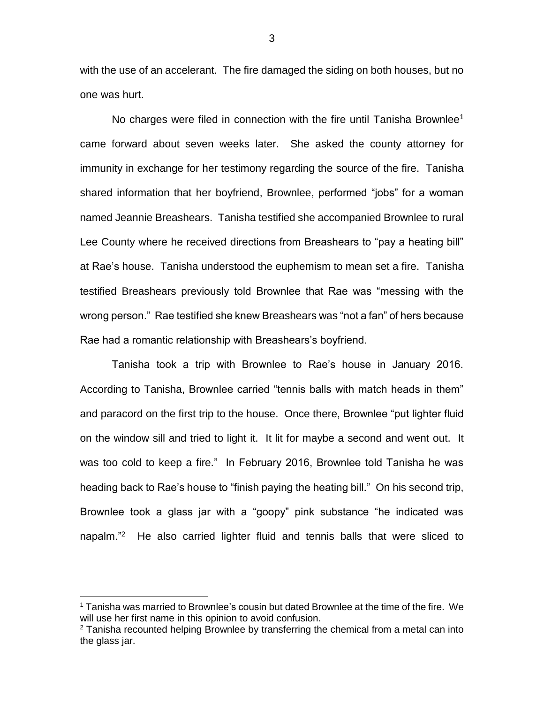with the use of an accelerant. The fire damaged the siding on both houses, but no one was hurt.

No charges were filed in connection with the fire until Tanisha Brownlee<sup>1</sup> came forward about seven weeks later. She asked the county attorney for immunity in exchange for her testimony regarding the source of the fire. Tanisha shared information that her boyfriend, Brownlee, performed "jobs" for a woman named Jeannie Breashears. Tanisha testified she accompanied Brownlee to rural Lee County where he received directions from Breashears to "pay a heating bill" at Rae's house. Tanisha understood the euphemism to mean set a fire. Tanisha testified Breashears previously told Brownlee that Rae was "messing with the wrong person." Rae testified she knew Breashears was "not a fan" of hers because Rae had a romantic relationship with Breashears's boyfriend.

Tanisha took a trip with Brownlee to Rae's house in January 2016. According to Tanisha, Brownlee carried "tennis balls with match heads in them" and paracord on the first trip to the house. Once there, Brownlee "put lighter fluid on the window sill and tried to light it. It lit for maybe a second and went out. It was too cold to keep a fire." In February 2016, Brownlee told Tanisha he was heading back to Rae's house to "finish paying the heating bill." On his second trip, Brownlee took a glass jar with a "goopy" pink substance "he indicated was napalm."<sup>2</sup> He also carried lighter fluid and tennis balls that were sliced to

<sup>1</sup> Tanisha was married to Brownlee's cousin but dated Brownlee at the time of the fire. We will use her first name in this opinion to avoid confusion.

 $2$  Tanisha recounted helping Brownlee by transferring the chemical from a metal can into the glass jar.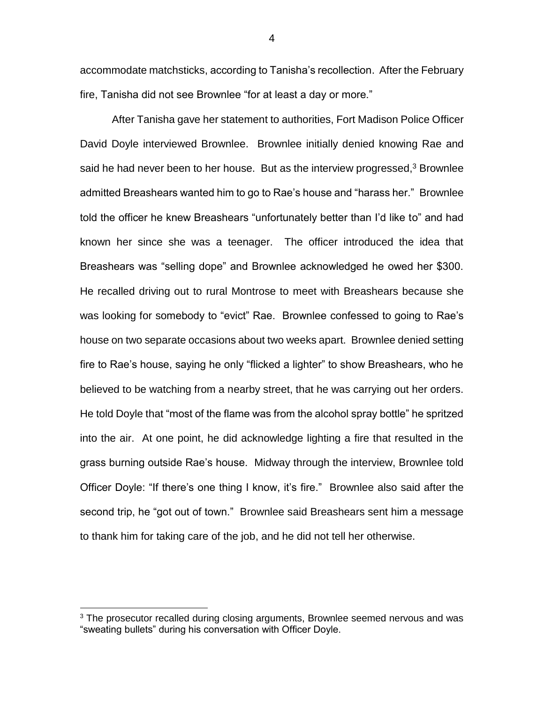accommodate matchsticks, according to Tanisha's recollection. After the February fire, Tanisha did not see Brownlee "for at least a day or more."

After Tanisha gave her statement to authorities, Fort Madison Police Officer David Doyle interviewed Brownlee. Brownlee initially denied knowing Rae and said he had never been to her house. But as the interview progressed, $3$  Brownlee admitted Breashears wanted him to go to Rae's house and "harass her." Brownlee told the officer he knew Breashears "unfortunately better than I'd like to" and had known her since she was a teenager. The officer introduced the idea that Breashears was "selling dope" and Brownlee acknowledged he owed her \$300. He recalled driving out to rural Montrose to meet with Breashears because she was looking for somebody to "evict" Rae. Brownlee confessed to going to Rae's house on two separate occasions about two weeks apart. Brownlee denied setting fire to Rae's house, saying he only "flicked a lighter" to show Breashears, who he believed to be watching from a nearby street, that he was carrying out her orders. He told Doyle that "most of the flame was from the alcohol spray bottle" he spritzed into the air. At one point, he did acknowledge lighting a fire that resulted in the grass burning outside Rae's house. Midway through the interview, Brownlee told Officer Doyle: "If there's one thing I know, it's fire." Brownlee also said after the second trip, he "got out of town." Brownlee said Breashears sent him a message to thank him for taking care of the job, and he did not tell her otherwise.

 $\overline{a}$ 

<sup>&</sup>lt;sup>3</sup> The prosecutor recalled during closing arguments, Brownlee seemed nervous and was "sweating bullets" during his conversation with Officer Doyle.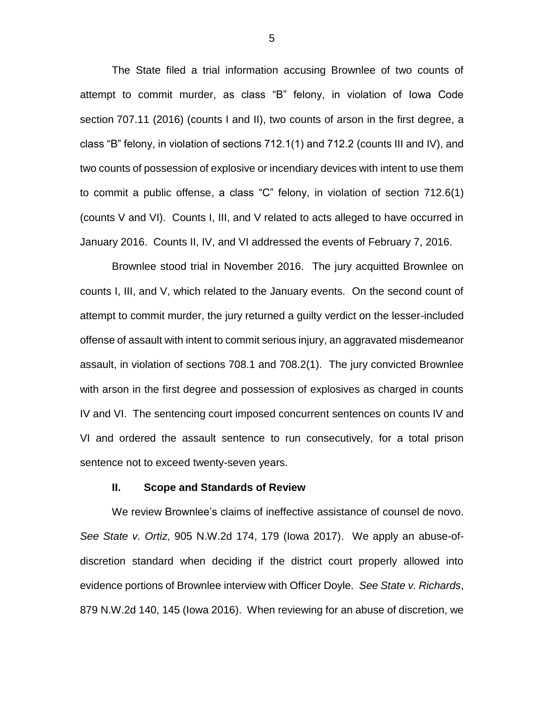The State filed a trial information accusing Brownlee of two counts of attempt to commit murder, as class "B" felony, in violation of Iowa Code section 707.11 (2016) (counts I and II), two counts of arson in the first degree, a class "B" felony, in violation of sections 712.1(1) and 712.2 (counts III and IV), and two counts of possession of explosive or incendiary devices with intent to use them to commit a public offense, a class "C" felony, in violation of section 712.6(1) (counts V and VI). Counts I, III, and V related to acts alleged to have occurred in January 2016. Counts II, IV, and VI addressed the events of February 7, 2016.

Brownlee stood trial in November 2016. The jury acquitted Brownlee on counts I, III, and V, which related to the January events. On the second count of attempt to commit murder, the jury returned a guilty verdict on the lesser-included offense of assault with intent to commit serious injury, an aggravated misdemeanor assault, in violation of sections 708.1 and 708.2(1). The jury convicted Brownlee with arson in the first degree and possession of explosives as charged in counts IV and VI. The sentencing court imposed concurrent sentences on counts IV and VI and ordered the assault sentence to run consecutively, for a total prison sentence not to exceed twenty-seven years.

#### **II. Scope and Standards of Review**

We review Brownlee's claims of ineffective assistance of counsel de novo. *See State v. Ortiz*, 905 N.W.2d 174, 179 (Iowa 2017). We apply an abuse-ofdiscretion standard when deciding if the district court properly allowed into evidence portions of Brownlee interview with Officer Doyle. *See State v. Richards*, 879 N.W.2d 140, 145 (Iowa 2016). When reviewing for an abuse of discretion, we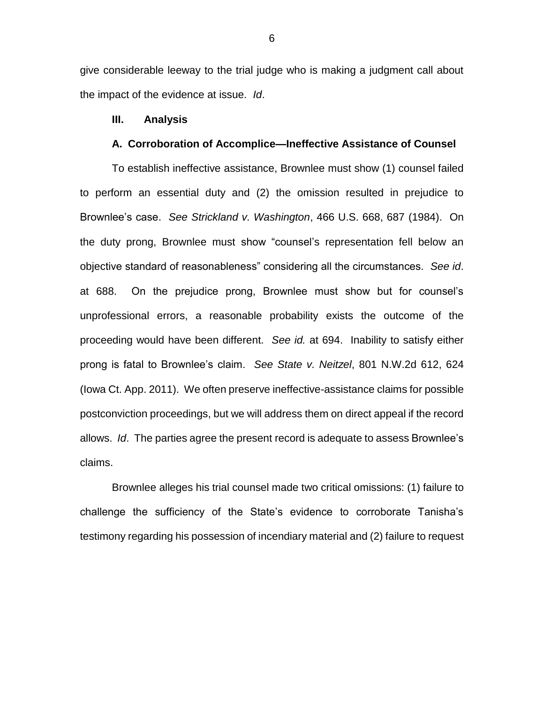give considerable leeway to the trial judge who is making a judgment call about the impact of the evidence at issue. *Id*.

### **III. Analysis**

#### **A. Corroboration of Accomplice—Ineffective Assistance of Counsel**

To establish ineffective assistance, Brownlee must show (1) counsel failed to perform an essential duty and (2) the omission resulted in prejudice to Brownlee's case. *See Strickland v. Washington*, 466 U.S. 668, 687 (1984). On the duty prong, Brownlee must show "counsel's representation fell below an objective standard of reasonableness" considering all the circumstances. *See id*. at 688. On the prejudice prong, Brownlee must show but for counsel's unprofessional errors, a reasonable probability exists the outcome of the proceeding would have been different. *See id.* at 694. Inability to satisfy either prong is fatal to Brownlee's claim. *See State v. Neitzel*, 801 N.W.2d 612, 624 (Iowa Ct. App. 2011). We often preserve ineffective-assistance claims for possible postconviction proceedings, but we will address them on direct appeal if the record allows. *Id*. The parties agree the present record is adequate to assess Brownlee's claims.

Brownlee alleges his trial counsel made two critical omissions: (1) failure to challenge the sufficiency of the State's evidence to corroborate Tanisha's testimony regarding his possession of incendiary material and (2) failure to request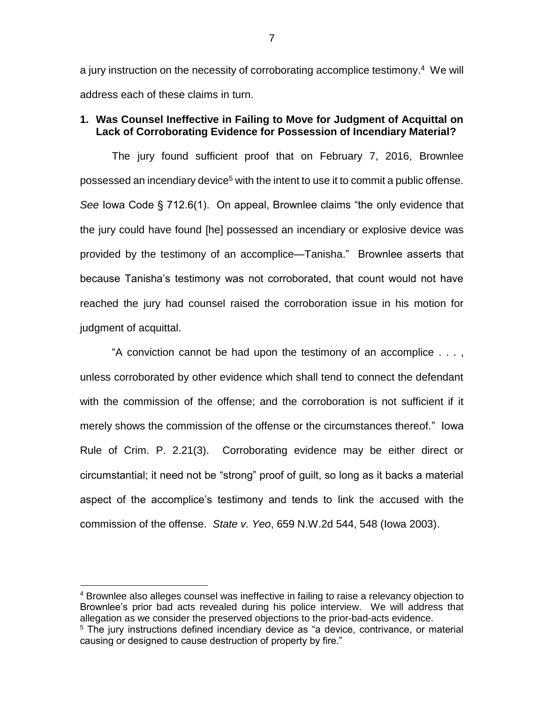a jury instruction on the necessity of corroborating accomplice testimony.<sup>4</sup> We will address each of these claims in turn.

### **1. Was Counsel Ineffective in Failing to Move for Judgment of Acquittal on Lack of Corroborating Evidence for Possession of Incendiary Material?**

The jury found sufficient proof that on February 7, 2016, Brownlee possessed an incendiary device<sup>5</sup> with the intent to use it to commit a public offense. *See* Iowa Code § 712.6(1). On appeal, Brownlee claims "the only evidence that the jury could have found [he] possessed an incendiary or explosive device was provided by the testimony of an accomplice—Tanisha." Brownlee asserts that because Tanisha's testimony was not corroborated, that count would not have reached the jury had counsel raised the corroboration issue in his motion for judgment of acquittal.

"A conviction cannot be had upon the testimony of an accomplice . . . , unless corroborated by other evidence which shall tend to connect the defendant with the commission of the offense; and the corroboration is not sufficient if it merely shows the commission of the offense or the circumstances thereof." Iowa Rule of Crim. P. 2.21(3). Corroborating evidence may be either direct or circumstantial; it need not be "strong" proof of guilt, so long as it backs a material aspect of the accomplice's testimony and tends to link the accused with the commission of the offense. *State v. Yeo*, 659 N.W.2d 544, 548 (Iowa 2003).

<sup>4</sup> Brownlee also alleges counsel was ineffective in failing to raise a relevancy objection to Brownlee's prior bad acts revealed during his police interview. We will address that allegation as we consider the preserved objections to the prior-bad-acts evidence.

<sup>&</sup>lt;sup>5</sup> The jury instructions defined incendiary device as "a device, contrivance, or material causing or designed to cause destruction of property by fire."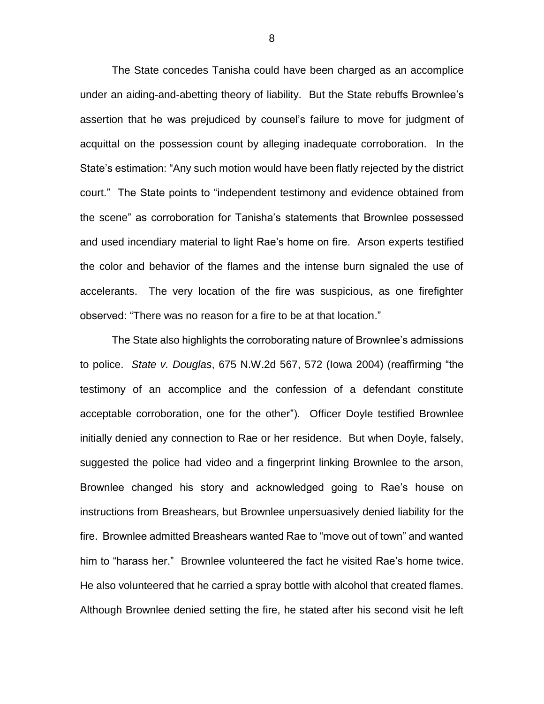The State concedes Tanisha could have been charged as an accomplice under an aiding-and-abetting theory of liability. But the State rebuffs Brownlee's assertion that he was prejudiced by counsel's failure to move for judgment of acquittal on the possession count by alleging inadequate corroboration. In the State's estimation: "Any such motion would have been flatly rejected by the district court." The State points to "independent testimony and evidence obtained from the scene" as corroboration for Tanisha's statements that Brownlee possessed and used incendiary material to light Rae's home on fire. Arson experts testified the color and behavior of the flames and the intense burn signaled the use of accelerants. The very location of the fire was suspicious, as one firefighter observed: "There was no reason for a fire to be at that location."

The State also highlights the corroborating nature of Brownlee's admissions to police. *State v. Douglas*, 675 N.W.2d 567, 572 (Iowa 2004) (reaffirming "the testimony of an accomplice and the confession of a defendant constitute acceptable corroboration, one for the other"). Officer Doyle testified Brownlee initially denied any connection to Rae or her residence. But when Doyle, falsely, suggested the police had video and a fingerprint linking Brownlee to the arson, Brownlee changed his story and acknowledged going to Rae's house on instructions from Breashears, but Brownlee unpersuasively denied liability for the fire. Brownlee admitted Breashears wanted Rae to "move out of town" and wanted him to "harass her." Brownlee volunteered the fact he visited Rae's home twice. He also volunteered that he carried a spray bottle with alcohol that created flames. Although Brownlee denied setting the fire, he stated after his second visit he left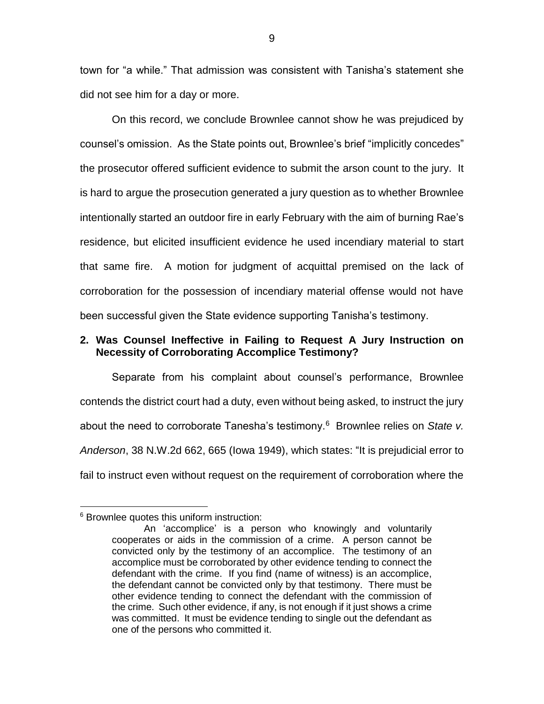town for "a while." That admission was consistent with Tanisha's statement she did not see him for a day or more.

On this record, we conclude Brownlee cannot show he was prejudiced by counsel's omission. As the State points out, Brownlee's brief "implicitly concedes" the prosecutor offered sufficient evidence to submit the arson count to the jury. It is hard to argue the prosecution generated a jury question as to whether Brownlee intentionally started an outdoor fire in early February with the aim of burning Rae's residence, but elicited insufficient evidence he used incendiary material to start that same fire. A motion for judgment of acquittal premised on the lack of corroboration for the possession of incendiary material offense would not have been successful given the State evidence supporting Tanisha's testimony.

# **2. Was Counsel Ineffective in Failing to Request A Jury Instruction on Necessity of Corroborating Accomplice Testimony?**

Separate from his complaint about counsel's performance, Brownlee contends the district court had a duty, even without being asked, to instruct the jury about the need to corroborate Tanesha's testimony.<sup>6</sup> Brownlee relies on State v. *Anderson*, 38 N.W.2d 662, 665 (Iowa 1949), which states: "It is prejudicial error to fail to instruct even without request on the requirement of corroboration where the

<sup>&</sup>lt;sup>6</sup> Brownlee quotes this uniform instruction:

An 'accomplice' is a person who knowingly and voluntarily cooperates or aids in the commission of a crime. A person cannot be convicted only by the testimony of an accomplice. The testimony of an accomplice must be corroborated by other evidence tending to connect the defendant with the crime. If you find (name of witness) is an accomplice, the defendant cannot be convicted only by that testimony. There must be other evidence tending to connect the defendant with the commission of the crime. Such other evidence, if any, is not enough if it just shows a crime was committed. It must be evidence tending to single out the defendant as one of the persons who committed it.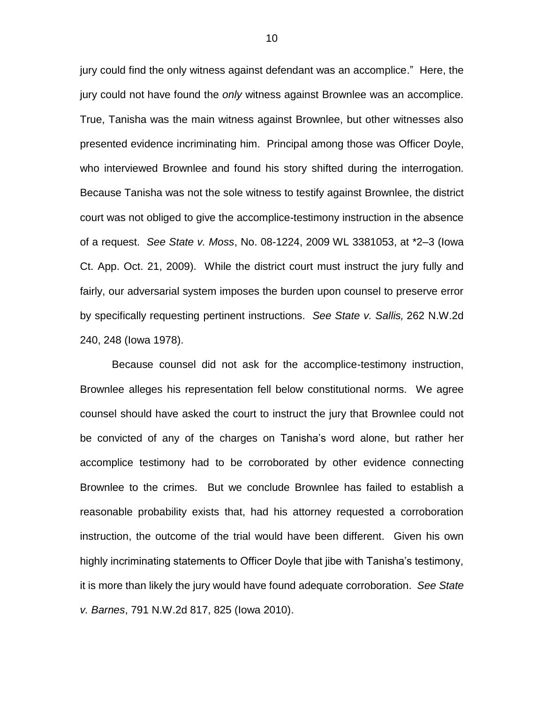jury could find the only witness against defendant was an accomplice." Here, the jury could not have found the *only* witness against Brownlee was an accomplice. True, Tanisha was the main witness against Brownlee, but other witnesses also presented evidence incriminating him. Principal among those was Officer Doyle, who interviewed Brownlee and found his story shifted during the interrogation. Because Tanisha was not the sole witness to testify against Brownlee, the district court was not obliged to give the accomplice-testimony instruction in the absence of a request. *See State v. Moss*, No. 08-1224, 2009 WL 3381053, at \*2–3 (Iowa Ct. App. Oct. 21, 2009). While the district court must instruct the jury fully and fairly, our adversarial system imposes the burden upon counsel to preserve error by specifically requesting pertinent instructions. *See State v. Sallis,* 262 N.W.2d 240, 248 (Iowa 1978).

Because counsel did not ask for the accomplice-testimony instruction, Brownlee alleges his representation fell below constitutional norms. We agree counsel should have asked the court to instruct the jury that Brownlee could not be convicted of any of the charges on Tanisha's word alone, but rather her accomplice testimony had to be corroborated by other evidence connecting Brownlee to the crimes. But we conclude Brownlee has failed to establish a reasonable probability exists that, had his attorney requested a corroboration instruction, the outcome of the trial would have been different. Given his own highly incriminating statements to Officer Doyle that jibe with Tanisha's testimony, it is more than likely the jury would have found adequate corroboration. *See State v. Barnes*, 791 N.W.2d 817, 825 (Iowa 2010).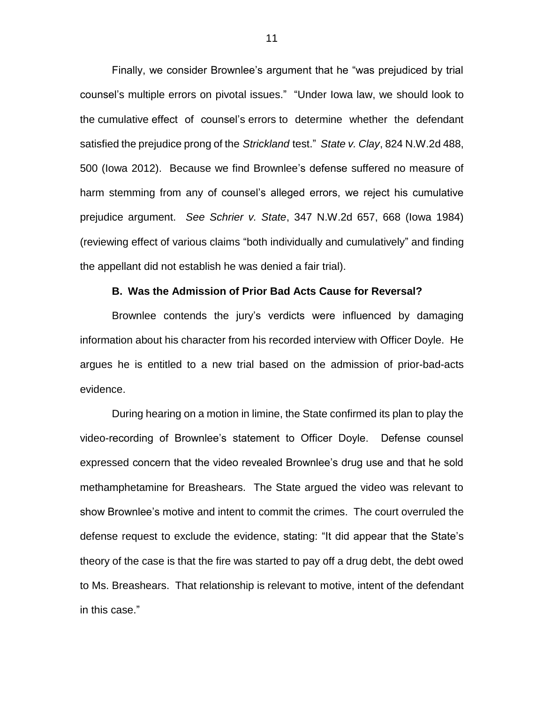Finally, we consider Brownlee's argument that he "was prejudiced by trial counsel's multiple errors on pivotal issues." "Under Iowa law, we should look to the cumulative effect of counsel's errors to determine whether the defendant satisfied the prejudice prong of the *Strickland* test." *State v. Clay*, 824 N.W.2d 488, 500 (Iowa 2012). Because we find Brownlee's defense suffered no measure of harm stemming from any of counsel's alleged errors, we reject his cumulative prejudice argument. *See Schrier v. State*, 347 N.W.2d 657, 668 (Iowa 1984) (reviewing effect of various claims "both individually and cumulatively" and finding the appellant did not establish he was denied a fair trial).

### **B. Was the Admission of Prior Bad Acts Cause for Reversal?**

Brownlee contends the jury's verdicts were influenced by damaging information about his character from his recorded interview with Officer Doyle. He argues he is entitled to a new trial based on the admission of prior-bad-acts evidence.

During hearing on a motion in limine, the State confirmed its plan to play the video-recording of Brownlee's statement to Officer Doyle. Defense counsel expressed concern that the video revealed Brownlee's drug use and that he sold methamphetamine for Breashears. The State argued the video was relevant to show Brownlee's motive and intent to commit the crimes. The court overruled the defense request to exclude the evidence, stating: "It did appear that the State's theory of the case is that the fire was started to pay off a drug debt, the debt owed to Ms. Breashears. That relationship is relevant to motive, intent of the defendant in this case."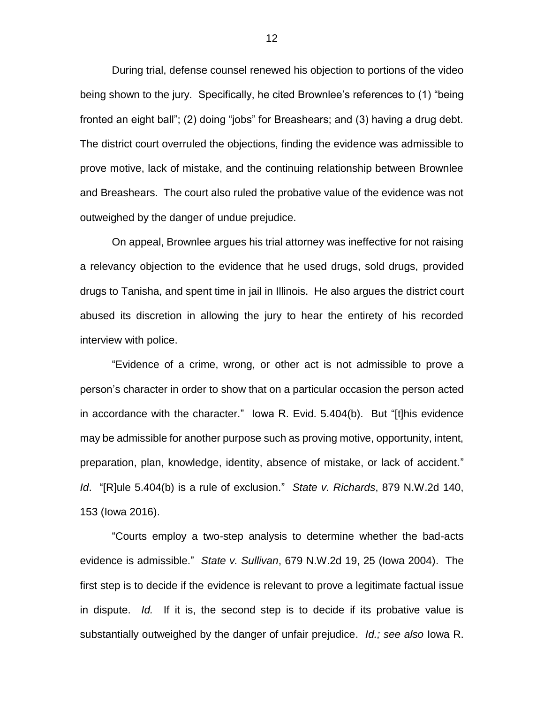During trial, defense counsel renewed his objection to portions of the video being shown to the jury. Specifically, he cited Brownlee's references to (1) "being fronted an eight ball"; (2) doing "jobs" for Breashears; and (3) having a drug debt. The district court overruled the objections, finding the evidence was admissible to prove motive, lack of mistake, and the continuing relationship between Brownlee and Breashears. The court also ruled the probative value of the evidence was not outweighed by the danger of undue prejudice.

On appeal, Brownlee argues his trial attorney was ineffective for not raising a relevancy objection to the evidence that he used drugs, sold drugs, provided drugs to Tanisha, and spent time in jail in Illinois. He also argues the district court abused its discretion in allowing the jury to hear the entirety of his recorded interview with police.

"Evidence of a crime, wrong, or other act is not admissible to prove a person's character in order to show that on a particular occasion the person acted in accordance with the character." Iowa R. Evid. 5.404(b). But "[t]his evidence may be admissible for another purpose such as proving motive, opportunity, intent, preparation, plan, knowledge, identity, absence of mistake, or lack of accident." *Id*. "[R]ule 5.404(b) is a rule of exclusion." *State v. Richards*, 879 N.W.2d 140, 153 (Iowa 2016).

"Courts employ a two-step analysis to determine whether the bad-acts evidence is admissible." *State v. Sullivan*, 679 N.W.2d 19, 25 (Iowa 2004). The first step is to decide if the evidence is relevant to prove a legitimate factual issue in dispute. *Id.* If it is, the second step is to decide if its probative value is substantially outweighed by the danger of unfair prejudice. *Id.; see also* Iowa R.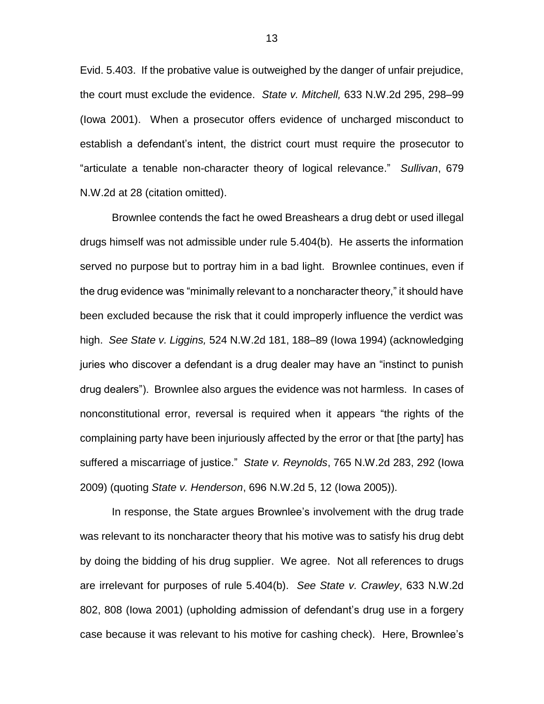Evid. 5.403. If the probative value is outweighed by the danger of unfair prejudice, the court must exclude the evidence. *State v. Mitchell,* 633 N.W.2d 295, 298–99 (Iowa 2001). When a prosecutor offers evidence of uncharged misconduct to establish a defendant's intent, the district court must require the prosecutor to "articulate a tenable non-character theory of logical relevance." *Sullivan*, 679 N.W.2d at 28 (citation omitted).

Brownlee contends the fact he owed Breashears a drug debt or used illegal drugs himself was not admissible under rule 5.404(b). He asserts the information served no purpose but to portray him in a bad light. Brownlee continues, even if the drug evidence was "minimally relevant to a noncharacter theory," it should have been excluded because the risk that it could improperly influence the verdict was high. *See State v. Liggins,* 524 N.W.2d 181, 188–89 (Iowa 1994) (acknowledging juries who discover a defendant is a drug dealer may have an "instinct to punish drug dealers"). Brownlee also argues the evidence was not harmless. In cases of nonconstitutional error, reversal is required when it appears "the rights of the complaining party have been injuriously affected by the error or that [the party] has suffered a miscarriage of justice." *State v. Reynolds*, 765 N.W.2d 283, 292 (Iowa 2009) (quoting *State v. Henderson*, 696 N.W.2d 5, 12 (Iowa 2005)).

In response, the State argues Brownlee's involvement with the drug trade was relevant to its noncharacter theory that his motive was to satisfy his drug debt by doing the bidding of his drug supplier. We agree. Not all references to drugs are irrelevant for purposes of rule 5.404(b). *See State v. Crawley*, 633 N.W.2d 802, 808 (Iowa 2001) (upholding admission of defendant's drug use in a forgery case because it was relevant to his motive for cashing check). Here, Brownlee's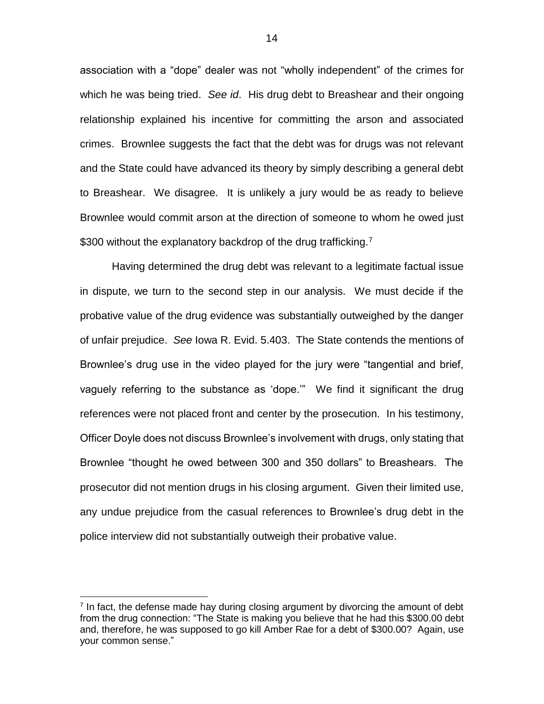association with a "dope" dealer was not "wholly independent" of the crimes for which he was being tried. *See id*. His drug debt to Breashear and their ongoing relationship explained his incentive for committing the arson and associated crimes. Brownlee suggests the fact that the debt was for drugs was not relevant and the State could have advanced its theory by simply describing a general debt to Breashear. We disagree. It is unlikely a jury would be as ready to believe Brownlee would commit arson at the direction of someone to whom he owed just \$300 without the explanatory backdrop of the drug trafficking.<sup>7</sup>

Having determined the drug debt was relevant to a legitimate factual issue in dispute, we turn to the second step in our analysis. We must decide if the probative value of the drug evidence was substantially outweighed by the danger of unfair prejudice. *See* Iowa R. Evid. 5.403. The State contends the mentions of Brownlee's drug use in the video played for the jury were "tangential and brief, vaguely referring to the substance as 'dope.'" We find it significant the drug references were not placed front and center by the prosecution. In his testimony, Officer Doyle does not discuss Brownlee's involvement with drugs, only stating that Brownlee "thought he owed between 300 and 350 dollars" to Breashears. The prosecutor did not mention drugs in his closing argument. Given their limited use, any undue prejudice from the casual references to Brownlee's drug debt in the police interview did not substantially outweigh their probative value.

 $<sup>7</sup>$  In fact, the defense made hay during closing argument by divorcing the amount of debt</sup> from the drug connection: "The State is making you believe that he had this \$300.00 debt and, therefore, he was supposed to go kill Amber Rae for a debt of \$300.00? Again, use your common sense."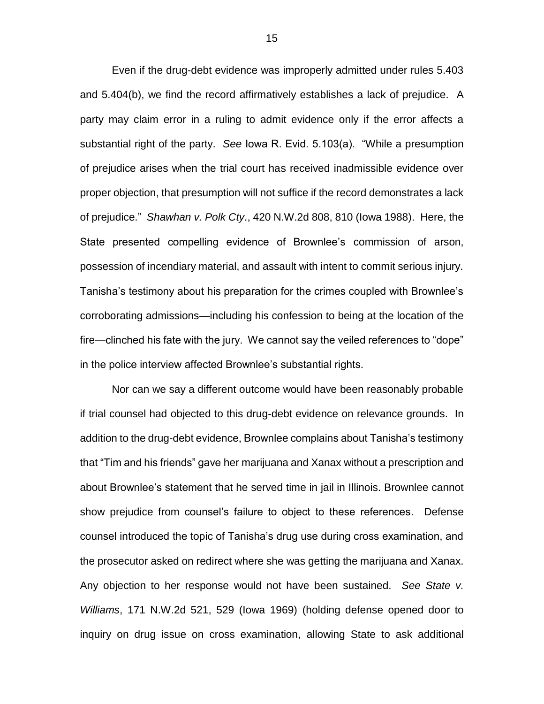Even if the drug-debt evidence was improperly admitted under rules 5.403 and 5.404(b), we find the record affirmatively establishes a lack of prejudice. A party may claim error in a ruling to admit evidence only if the error affects a substantial right of the party. *See* Iowa R. Evid. 5.103(a). "While a presumption of prejudice arises when the trial court has received inadmissible evidence over proper objection, that presumption will not suffice if the record demonstrates a lack of prejudice." *Shawhan v. Polk Cty*., 420 N.W.2d 808, 810 (Iowa 1988). Here, the State presented compelling evidence of Brownlee's commission of arson, possession of incendiary material, and assault with intent to commit serious injury. Tanisha's testimony about his preparation for the crimes coupled with Brownlee's corroborating admissions—including his confession to being at the location of the fire—clinched his fate with the jury. We cannot say the veiled references to "dope" in the police interview affected Brownlee's substantial rights.

Nor can we say a different outcome would have been reasonably probable if trial counsel had objected to this drug-debt evidence on relevance grounds. In addition to the drug-debt evidence, Brownlee complains about Tanisha's testimony that "Tim and his friends" gave her marijuana and Xanax without a prescription and about Brownlee's statement that he served time in jail in Illinois. Brownlee cannot show prejudice from counsel's failure to object to these references. Defense counsel introduced the topic of Tanisha's drug use during cross examination, and the prosecutor asked on redirect where she was getting the marijuana and Xanax. Any objection to her response would not have been sustained. *See State v. Williams*, 171 N.W.2d 521, 529 (Iowa 1969) (holding defense opened door to inquiry on drug issue on cross examination, allowing State to ask additional